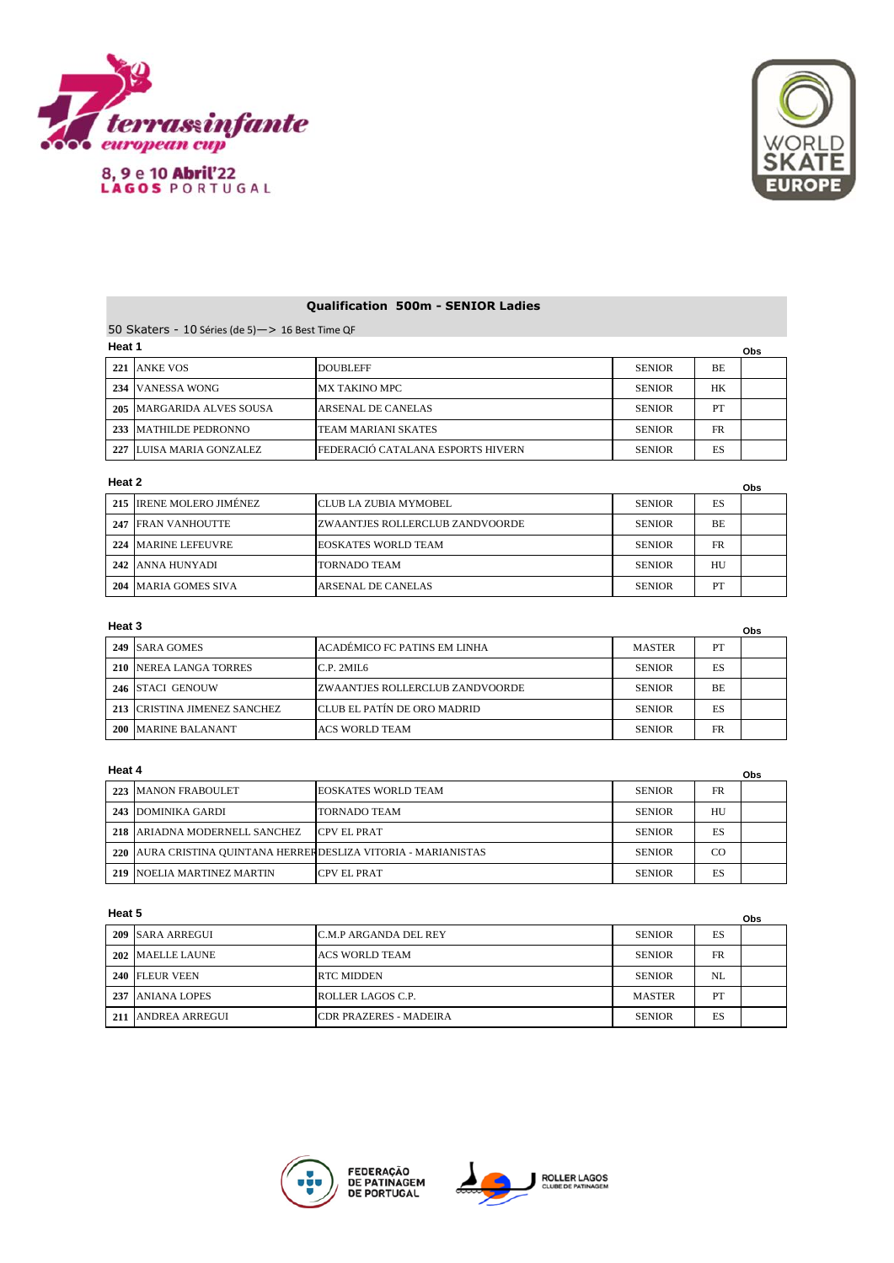

8, 9 e 10 Abril'22<br>LAGOS PORTUGAL



# **Qualification 500m - SENIOR Ladies**

50 Skaters - 10 Séries (de 5)—> 16 Best Time QF **Heat 1**

| пеас г |                           |                                          |               |     | Obs |
|--------|---------------------------|------------------------------------------|---------------|-----|-----|
| 221    | ANKE VOS                  | <b>DOUBLEFF</b>                          | <b>SENIOR</b> | BE. |     |
|        | 234 VANESSA WONG          | MX TAKINO MPC                            | <b>SENIOR</b> | HK  |     |
|        | 205 MARGARIDA ALVES SOUSA | ARSENAL DE CANELAS                       | <b>SENIOR</b> | PT  |     |
|        | 233 MATHILDE PEDRONNO     | ITEAM MARIANI SKATES                     | <b>SENIOR</b> | FR  |     |
|        | 227 LUISA MARIA GONZALEZ  | <b>FEDERACIÓ CATALANA ESPORTS HIVERN</b> | <b>SENIOR</b> | ES  |     |

### **Heat 2**

|     | Heat 2<br>Obs            |                                         |               |           |  |
|-----|--------------------------|-----------------------------------------|---------------|-----------|--|
|     | 215 IRENE MOLERO JIMÉNEZ | ICLUB LA ZUBIA MYMOBEL                  | <b>SENIOR</b> | ES        |  |
|     | 247 FRAN VANHOUTTE       | <b>IZWAANTJES ROLLERCLUB ZANDVOORDE</b> | <b>SENIOR</b> | <b>BE</b> |  |
| 224 | <b>MARINE LEFEUVRE</b>   | <b>EOSKATES WORLD TEAM</b>              | <b>SENIOR</b> | <b>FR</b> |  |
|     | 242 JANNA HUNYADI        | <b>TORNADO TEAM</b>                     | <b>SENIOR</b> | HU        |  |
| 204 | MARIA GOMES SIVA         | <b>ARSENAL DE CANELAS</b>               | <b>SENIOR</b> | PT        |  |

## **Heat 3**

| Heat 3 |                              |                                  |               |           | Obs |
|--------|------------------------------|----------------------------------|---------------|-----------|-----|
|        | 249 ISARA GOMES              | ACADÉMICO FC PATINS EM LINHA     | <b>MASTER</b> | PТ        |     |
|        | 210 NEREA LANGA TORRES       | C.P. 2MII.6                      | <b>SENIOR</b> | ES        |     |
|        | 246 ISTACI GENOUW            | IZWAANTJES ROLLERCLUB ZANDVOORDE | <b>SENIOR</b> | <b>BE</b> |     |
|        | 213 CRISTINA JIMENEZ SANCHEZ | CLUB EL PATÍN DE ORO MADRID      | <b>SENIOR</b> | ES        |     |
|        | 200 MARINE BALANANT          | <b>ACS WORLD TEAM</b>            | <b>SENIOR</b> | <b>FR</b> |     |

### **Heat 4**

| Heat 4 |                                                                |                     |               |           | Obs |
|--------|----------------------------------------------------------------|---------------------|---------------|-----------|-----|
|        | 223 MANON FRABOULET                                            | EOSKATES WORLD TEAM | <b>SENIOR</b> | <b>FR</b> |     |
|        | 243 DOMINIKA GARDI                                             | ITORNADO TEAM       | <b>SENIOR</b> | HU        |     |
|        | 218 ARIADNA MODERNELL SANCHEZ                                  | <b>CPV EL PRAT</b>  | <b>SENIOR</b> | ES        |     |
|        | 220 AURA CRISTINA QUINTANA HERRERDESLIZA VITORIA - MARIANISTAS |                     | <b>SENIOR</b> | CO        |     |
| 219    | NOELIA MARTINEZ MARTIN                                         | <b>CPV EL PRAT</b>  | <b>SENIOR</b> | ES        |     |

### **Heat 5**

| ι ισαι υ |                    |                               |               |           | Obs |
|----------|--------------------|-------------------------------|---------------|-----------|-----|
|          | 209 ISARA ARREGUI  | <b>C.M.P ARGANDA DEL REY</b>  | <b>SENIOR</b> | ES        |     |
|          | 202 MAELLE LAUNE   | ACS WORLD TEAM                | <b>SENIOR</b> | <b>FR</b> |     |
|          | 240 FLEUR VEEN     | <b>IRTC MIDDEN</b>            | <b>SENIOR</b> | NI.       |     |
|          | 237 JANIANA LOPES  | ROLLER LAGOS C.P.             | <b>MASTER</b> | PT        |     |
|          | 211 ANDREA ARREGUI | <b>CDR PRAZERES - MADEIRA</b> | <b>SENIOR</b> | ES        |     |